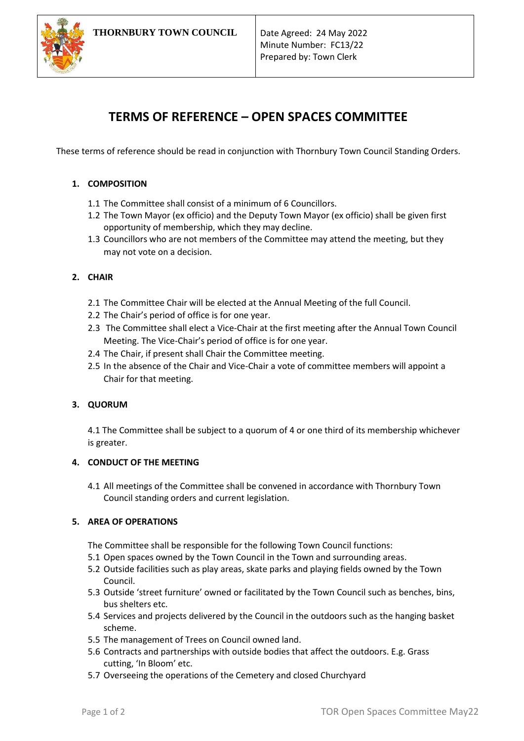

# **TERMS OF REFERENCE – OPEN SPACES COMMITTEE**

These terms of reference should be read in conjunction with Thornbury Town Council Standing Orders.

# **1. COMPOSITION**

- 1.1 The Committee shall consist of a minimum of 6 Councillors.
- 1.2 The Town Mayor (ex officio) and the Deputy Town Mayor (ex officio) shall be given first opportunity of membership, which they may decline.
- 1.3 Councillors who are not members of the Committee may attend the meeting, but they may not vote on a decision.

# **2. CHAIR**

- 2.1 The Committee Chair will be elected at the Annual Meeting of the full Council.
- 2.2 The Chair's period of office is for one year.
- 2.3 The Committee shall elect a Vice-Chair at the first meeting after the Annual Town Council Meeting. The Vice-Chair's period of office is for one year.
- 2.4 The Chair, if present shall Chair the Committee meeting.
- 2.5 In the absence of the Chair and Vice-Chair a vote of committee members will appoint a Chair for that meeting.

## **3. QUORUM**

4.1 The Committee shall be subject to a quorum of 4 or one third of its membership whichever is greater.

## **4. CONDUCT OF THE MEETING**

4.1 All meetings of the Committee shall be convened in accordance with Thornbury Town Council standing orders and current legislation.

## **5. AREA OF OPERATIONS**

The Committee shall be responsible for the following Town Council functions:

- 5.1 Open spaces owned by the Town Council in the Town and surrounding areas.
- 5.2 Outside facilities such as play areas, skate parks and playing fields owned by the Town Council.
- 5.3 Outside 'street furniture' owned or facilitated by the Town Council such as benches, bins, bus shelters etc.
- 5.4 Services and projects delivered by the Council in the outdoors such as the hanging basket scheme.
- 5.5 The management of Trees on Council owned land.
- 5.6 Contracts and partnerships with outside bodies that affect the outdoors. E.g. Grass cutting, 'In Bloom' etc.
- 5.7 Overseeing the operations of the Cemetery and closed Churchyard